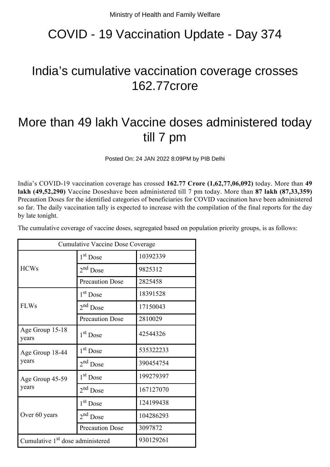# COVID - 19 Vaccination Update - Day 374

## India's cumulative vaccination coverage crosses 162.77crore

# More than 49 lakh Vaccine doses administered today till 7 pm

Posted On: 24 JAN 2022 8:09PM by PIB Delhi

India's COVID-19 vaccination coverage has crossed **162.77 Crore (1,62,77,06,092)** today. More than **49 lakh (49,52,290)** Vaccine Doseshave been administered till 7 pm today. More than **87 lakh (87,33,359)** Precaution Doses for the identified categories of beneficiaries for COVID vaccination have been administered so far. The daily vaccination tally is expected to increase with the compilation of the final reports for the day by late tonight.

| Cumulative Vaccine Dose Coverage             |                        |           |  |
|----------------------------------------------|------------------------|-----------|--|
| <b>HCWs</b>                                  | $1st$ Dose             | 10392339  |  |
|                                              | $2nd$ Dose             | 9825312   |  |
|                                              | <b>Precaution Dose</b> | 2825458   |  |
| <b>FLWs</b>                                  | 1 <sup>st</sup> Dose   | 18391528  |  |
|                                              | $2nd$ Dose             | 17150043  |  |
|                                              | <b>Precaution Dose</b> | 2810029   |  |
| Age Group 15-18<br>years                     | 1 <sup>st</sup> Dose   | 42544326  |  |
| Age Group 18-44<br>years                     | 1 <sup>st</sup> Dose   | 535322233 |  |
|                                              | $2nd$ Dose             | 390454754 |  |
| Age Group 45-59<br>years                     | 1 <sup>st</sup> Dose   | 199279397 |  |
|                                              | $2nd$ Dose             | 167127070 |  |
| Over 60 years                                | 1 <sup>st</sup> Dose   | 124199438 |  |
|                                              | $2nd$ Dose             | 104286293 |  |
|                                              | <b>Precaution Dose</b> | 3097872   |  |
| Cumulative 1 <sup>st</sup> dose administered |                        | 930129261 |  |

The cumulative coverage of vaccine doses, segregated based on population priority groups, is as follows: